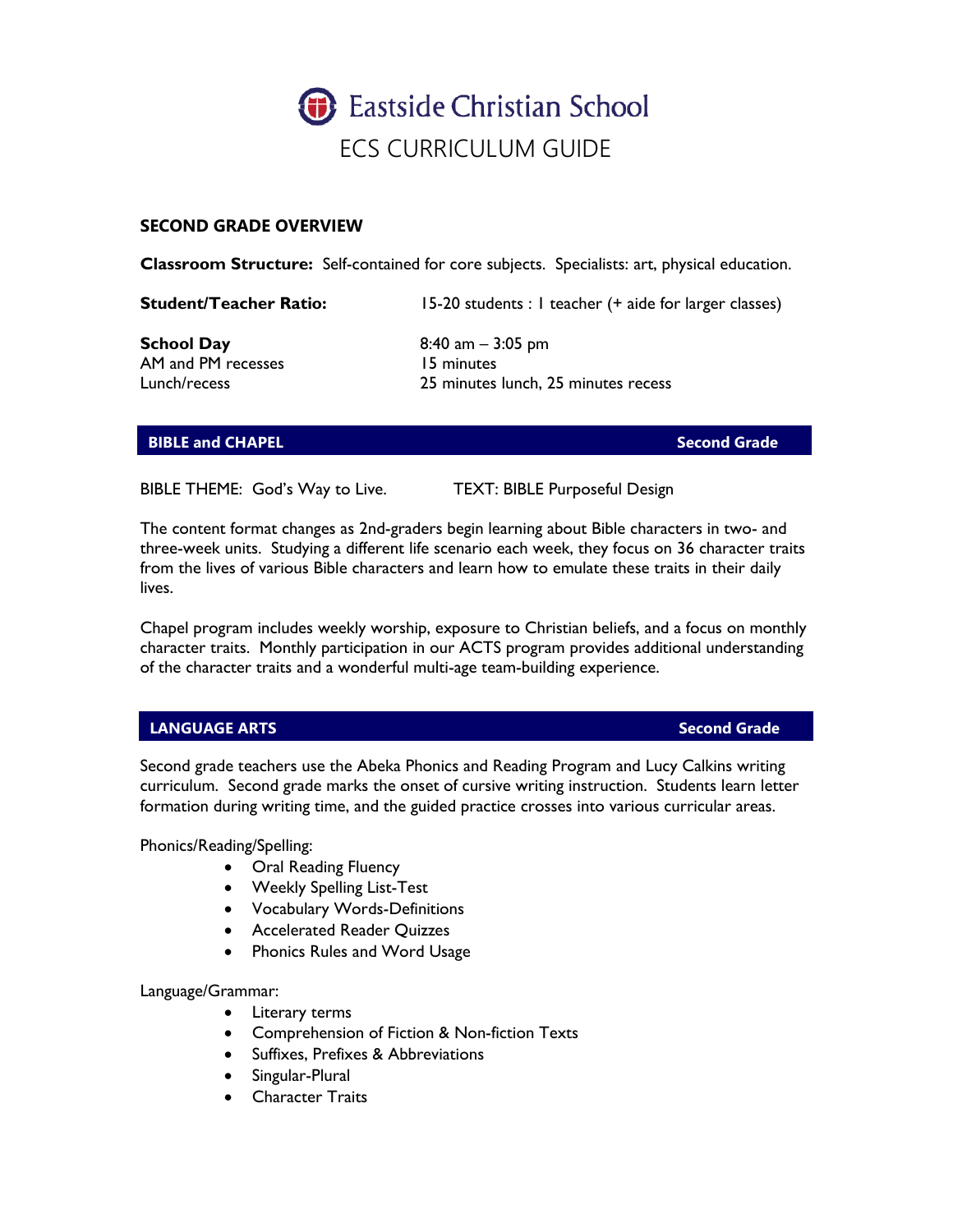

# **SECOND GRADE OVERVIEW**

**Classroom Structure:** Self-contained for core subjects. Specialists: art, physical education.

**Student/Teacher Ratio:** 15-20 students : 1 teacher (+ aide for larger classes)

AM and PM recesses 15 minutes

**School Day** 8:40 am – 3:05 pm Lunch/recess 25 minutes lunch, 25 minutes recess

# **BIBLE and CHAPEL Second Grade**

BIBLE THEME: God's Way to Live. TEXT: BIBLE Purposeful Design

The content format changes as 2nd-graders begin learning about Bible characters in two- and three-week units. Studying a different life scenario each week, they focus on 36 character traits from the lives of various Bible characters and learn how to emulate these traits in their daily lives.

Chapel program includes weekly worship, exposure to Christian beliefs, and a focus on monthly character traits. Monthly participation in our ACTS program provides additional understanding of the character traits and a wonderful multi-age team-building experience.

# **LANGUAGE ARTS Second Grade**

Second grade teachers use the Abeka Phonics and Reading Program and Lucy Calkins writing curriculum. Second grade marks the onset of cursive writing instruction. Students learn letter formation during writing time, and the guided practice crosses into various curricular areas.

Phonics/Reading/Spelling:

- Oral Reading Fluency
- Weekly Spelling List-Test
- Vocabulary Words-Definitions
- Accelerated Reader Quizzes
- Phonics Rules and Word Usage

Language/Grammar:

- Literary terms
- Comprehension of Fiction & Non-fiction Texts
- Suffixes, Prefixes & Abbreviations
- Singular-Plural
- Character Traits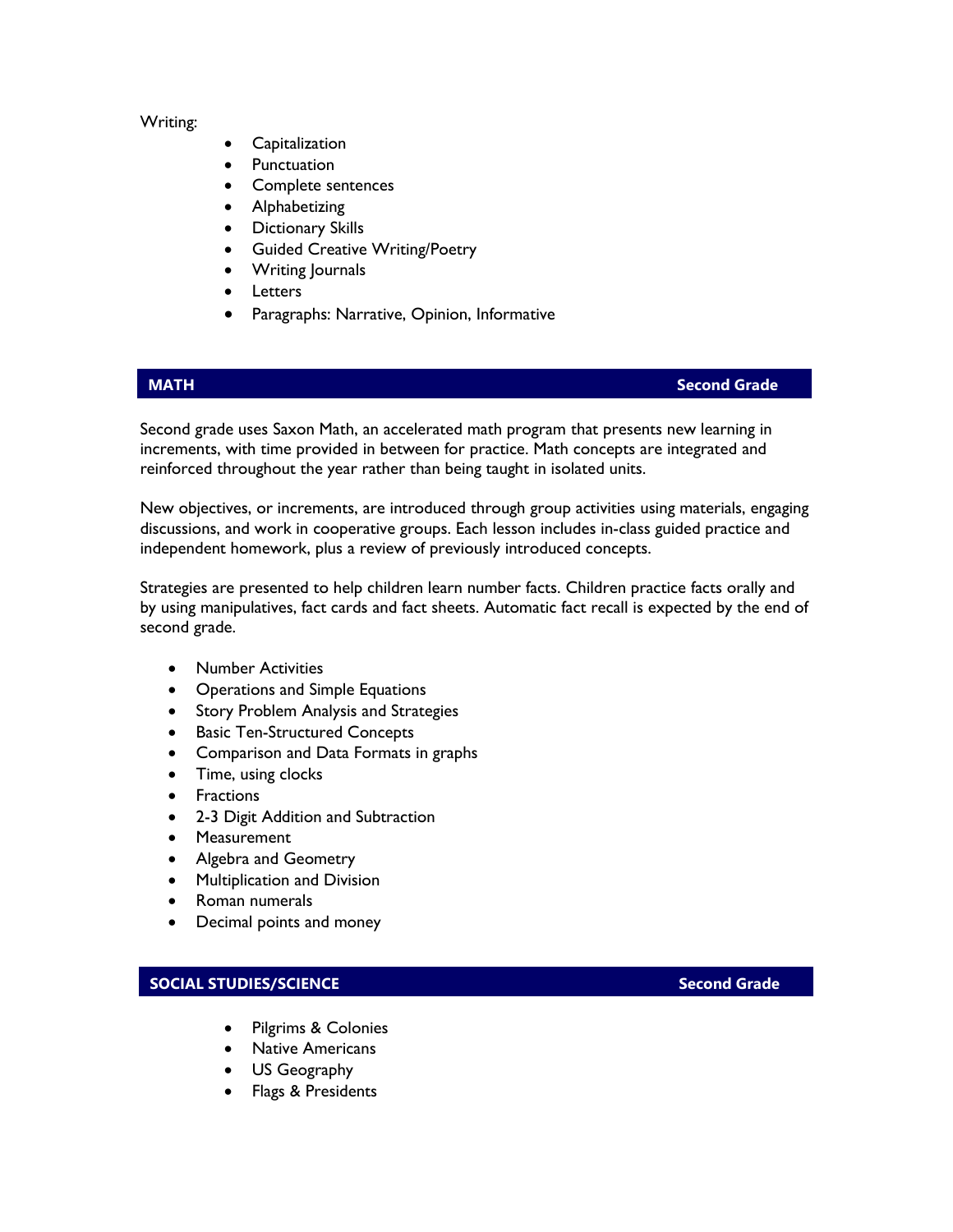### Writing:

- **Capitalization**
- **Punctuation**
- Complete sentences
- Alphabetizing
- Dictionary Skills
- Guided Creative Writing/Poetry
- Writing Journals
- **Letters**
- Paragraphs: Narrative, Opinion, Informative

# **MATH Second Grade**

Second grade uses Saxon Math, an accelerated math program that presents new learning in increments, with time provided in between for practice. Math concepts are integrated and reinforced throughout the year rather than being taught in isolated units.

New objectives, or increments, are introduced through group activities using materials, engaging discussions, and work in cooperative groups. Each lesson includes in-class guided practice and independent homework, plus a review of previously introduced concepts.

Strategies are presented to help children learn number facts. Children practice facts orally and by using manipulatives, fact cards and fact sheets. Automatic fact recall is expected by the end of second grade.

- Number Activities
- Operations and Simple Equations
- Story Problem Analysis and Strategies
- Basic Ten-Structured Concepts
- Comparison and Data Formats in graphs
- Time, using clocks
- Fractions
- 2-3 Digit Addition and Subtraction
- Measurement
- Algebra and Geometry
- Multiplication and Division
- Roman numerals
- Decimal points and money

# **SOCIAL STUDIES/SCIENCE SECOND SECOND SECOND SECOND SECOND SECOND SECOND SECOND SECOND SECOND SECOND SECOND SECOND SECOND SECOND SECOND SECOND SECOND SECOND SECOND SECOND SECOND SECOND SECOND SECOND SECOND SECOND SECOND**

- Pilgrims & Colonies
- Native Americans
- US Geography
- Flags & Presidents